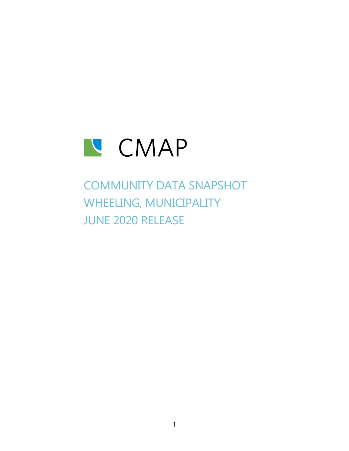

# COMMUNITY DATA SNAPSHOT WHEELING, MUNICIPALITY JUNE 2020 RELEASE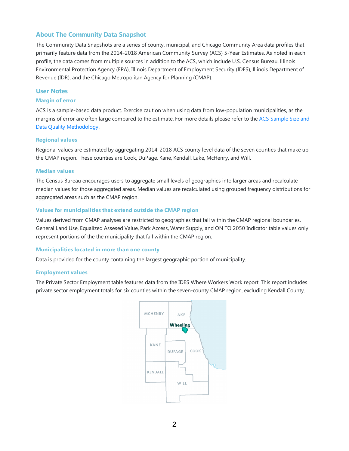### **About The Community Data Snapshot**

The Community Data Snapshots are a series of county, municipal, and Chicago Community Area data profiles that primarily feature data from the 2014-2018 American Community Survey (ACS) 5-Year Estimates. As noted in each profile, the data comes from multiple sources in addition to the ACS, which include U.S. Census Bureau, Illinois Environmental Protection Agency (EPA), Illinois Department of Employment Security (IDES), Illinois Department of Revenue (IDR), and the Chicago Metropolitan Agency for Planning (CMAP).

### **User Notes**

#### **Margin of error**

ACS is a sample-based data product. Exercise caution when using data from low-population municipalities, as the margins of error are often large compared to the estimate. For more details please refer to the ACS Sample Size and Data Quality Methodology.

#### **Regional values**

Regional values are estimated by aggregating 2014-2018 ACS county level data of the seven counties that make up the CMAP region. These counties are Cook, DuPage, Kane, Kendall, Lake, McHenry, and Will.

#### **Median values**

The Census Bureau encourages users to aggregate small levels of geographies into larger areas and recalculate median values for those aggregated areas. Median values are recalculated using grouped frequency distributions for aggregated areas such as the CMAP region.

#### **Values for municipalities that extend outside the CMAP region**

Values derived from CMAP analyses are restricted to geographies that fall within the CMAP regional boundaries. General Land Use, Equalized Assesed Value, Park Access, Water Supply, and ON TO 2050 Indicator table values only represent portions of the the municipality that fall within the CMAP region.

#### **Municipalities located in more than one county**

Data is provided for the county containing the largest geographic portion of municipality.

#### **Employment values**

The Private Sector Employment table features data from the IDES Where Workers Work report. This report includes private sector employment totals for six counties within the seven-county CMAP region, excluding Kendall County.

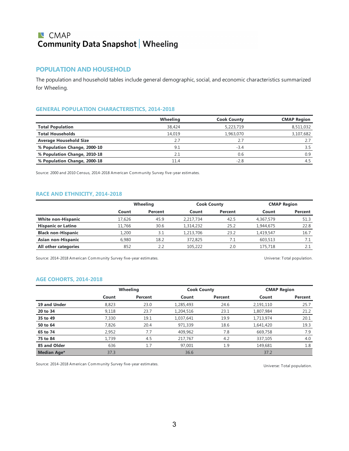## **N** CMAP **Community Data Snapshot | Wheeling**

### **POPULATION AND HOUSEHOLD**

The population and household tables include general demographic, social,and economic characteristics summarized for Wheeling.

#### **GENERAL POPULATION CHARACTERISTICS, 2014-2018**

|                               | Wheeling | <b>Cook County</b> | <b>CMAP Region</b> |
|-------------------------------|----------|--------------------|--------------------|
| <b>Total Population</b>       | 38,424   | 5,223,719          | 8,511,032          |
| <b>Total Households</b>       | 14.019   | 1,963,070          | 3,107,682          |
| <b>Average Household Size</b> | 2.7      | 2.7                |                    |
| % Population Change, 2000-10  | 9.1      | $-3.4$             | 3.5                |
| % Population Change, 2010-18  | 2.1      | 0.6                | 0.9                |
| % Population Change, 2000-18  | 11.4     | $-2.8$             | 4.5                |

Source: 2000 and 2010 Census, 2014-2018 American Community Survey five-year estimates.

#### **RACE AND ETHNICITY, 2014-2018**

|                           |        | Wheeling | <b>Cook County</b> |         | <b>CMAP Region</b> |         |
|---------------------------|--------|----------|--------------------|---------|--------------------|---------|
|                           | Count  | Percent  | Count              | Percent | Count              | Percent |
| <b>White non-Hispanic</b> | 17,626 | 45.9     | 2,217,734          | 42.5    | 4,367,579          | 51.3    |
| <b>Hispanic or Latino</b> | 11,766 | 30.6     | 1,314,232          | 25.2    | 1,944,675          | 22.8    |
| <b>Black non-Hispanic</b> | 1,200  | 3.1      | 1,213,706          | 23.2    | 1.419.547          | 16.7    |
| Asian non-Hispanic        | 6.980  | 18.2     | 372,825            | 7.1     | 603,513            |         |
| All other categories      | 852    | 2.2      | 105,222            | 2.0     | 175,718            |         |

Source: 2014-2018 American Community Survey five-year estimates. The mate of the state of the Universe: Total population.

### **AGE COHORTS, 2014-2018**

|                    |       | Wheeling |           | <b>Cook County</b> | <b>CMAP Region</b> |         |
|--------------------|-------|----------|-----------|--------------------|--------------------|---------|
|                    | Count | Percent  | Count     | Percent            | Count              | Percent |
| 19 and Under       | 8,823 | 23.0     | 1,285,493 | 24.6               | 2,191,110          | 25.7    |
| 20 to 34           | 9,118 | 23.7     | 1,204,516 | 23.1               | 1,807,984          | 21.2    |
| 35 to 49           | 7,330 | 19.1     | 1,037,641 | 19.9               | 1,713,974          | 20.1    |
| 50 to 64           | 7,826 | 20.4     | 971,339   | 18.6               | 1,641,420          | 19.3    |
| 65 to 74           | 2,952 | 7.7      | 409,962   | 7.8                | 669,758            | 7.9     |
| 75 to 84           | 1,739 | 4.5      | 217,767   | 4.2                | 337,105            | 4.0     |
| 85 and Older       | 636   | 1.7      | 97,001    | 1.9                | 149,681            | 1.8     |
| <b>Median Age*</b> | 37.3  |          | 36.6      |                    | 37.2               |         |

Source: 2014-2018 American Community Survey five-year estimates. Universe: Total population.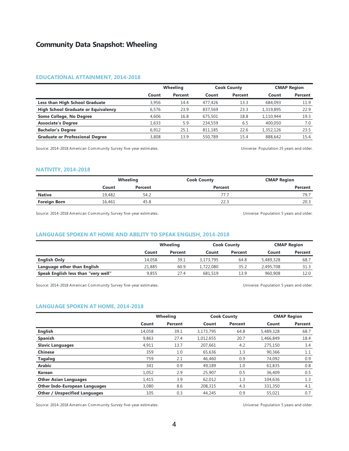#### **EDUCATIONAL ATTAINMENT, 2014-2018**

|                                            | Wheeling |         |         | <b>Cook County</b> |           | <b>CMAP Region</b> |  |
|--------------------------------------------|----------|---------|---------|--------------------|-----------|--------------------|--|
|                                            | Count    | Percent | Count   | Percent            | Count     | Percent            |  |
| Less than High School Graduate             | 3.956    | 14.4    | 477,426 | 13.3               | 684,093   | 11.9               |  |
| <b>High School Graduate or Equivalency</b> | 6.576    | 23.9    | 837,569 | 23.3               | 1,319,895 | 22.9               |  |
| Some College, No Degree                    | 4.606    | 16.8    | 675,501 | 18.8               | 1.110.944 | 19.3               |  |
| <b>Associate's Degree</b>                  | 1.633    | 5.9     | 234,559 | 6.5                | 400.050   | 7.0                |  |
| <b>Bachelor's Degree</b>                   | 6.912    | 25.1    | 811.185 | 22.6               | 1,352,126 | 23.5               |  |
| <b>Graduate or Professional Degree</b>     | 3,808    | 13.9    | 550.789 | 15.4               | 888,642   | 15.4               |  |

Source: 2014-2018 American Community Survey five-year estimates. 
Universe: Population 25 years and older.

#### **NATIVITY, 2014-2018**

|                     |        | Wheeling | <b>Cook County</b> | <b>CMAP Region</b> |
|---------------------|--------|----------|--------------------|--------------------|
|                     | Count  | Percent  | Percent            | Percent            |
| <b>Native</b>       | 19.482 | 54.2     | 77.7               | 79.7               |
| <b>Foreign Born</b> | 16,461 | 45.8     | 22.3               | 20.3               |

Source: 2014-2018 American Community Survey five-year estimates. Universe: Population 5 years and older.

#### **LANGUAGE SPOKEN AT HOME AND ABILITY TO SPEAK ENGLISH, 2014-2018**

|                                     |        | Wheeling |           | <b>Cook County</b> |           | <b>CMAP Region</b> |  |
|-------------------------------------|--------|----------|-----------|--------------------|-----------|--------------------|--|
|                                     | Count  | Percent  | Count     | Percent            | Count     | Percent            |  |
| <b>English Only</b>                 | 14,058 | 39.1     | 3,173,795 | 64.8               | 5,489,328 | 68.7               |  |
| Language other than English         | 21,885 | 60.9     | 1,722,080 | 35.2               | 2.495.708 | 31.3               |  |
| Speak English less than "very well" | 9.855  | 27.4     | 681,519   | 13.9               | 960,908   | 12.0               |  |

Source: 2014-2018 American Community Survey five-year estimates. Universe: Population 5 years and older.

#### **LANGUAGE SPOKEN AT HOME, 2014-2018**

|                                      |        | Wheeling |           | <b>Cook County</b> |           | <b>CMAP Region</b> |
|--------------------------------------|--------|----------|-----------|--------------------|-----------|--------------------|
|                                      | Count  | Percent  | Count     | Percent            | Count     | Percent            |
| <b>English</b>                       | 14,058 | 39.1     | 3,173,795 | 64.8               | 5,489,328 | 68.7               |
| <b>Spanish</b>                       | 9,863  | 27.4     | 1,012,655 | 20.7               | 1,466,849 | 18.4               |
| <b>Slavic Languages</b>              | 4,911  | 13.7     | 207,661   | 4.2                | 275,150   | 3.4                |
| <b>Chinese</b>                       | 359    | 1.0      | 65,636    | 1.3                | 90,366    | 1.1                |
| <b>Tagalog</b>                       | 759    | 2.1      | 46,460    | 0.9                | 74,092    | 0.9                |
| <b>Arabic</b>                        | 341    | 0.9      | 49,189    | 1.0                | 61,835    | 0.8                |
| <b>Korean</b>                        | 1,052  | 2.9      | 25,907    | 0.5                | 36,409    | 0.5                |
| <b>Other Asian Languages</b>         | 1,415  | 3.9      | 62,012    | 1.3                | 104,636   | 1.3                |
| <b>Other Indo-European Languages</b> | 3,080  | 8.6      | 208,315   | 4.3                | 331,350   | 4.1                |
| <b>Other / Unspecified Languages</b> | 105    | 0.3      | 44.245    | 0.9                | 55,021    | 0.7                |

Source: 2014-2018 American Community Survey five-year estimates. Universe: Population 5 years and older.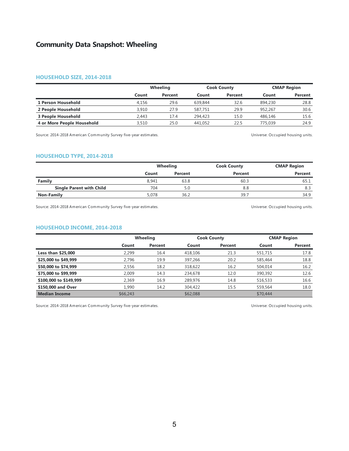#### **HOUSEHOLD SIZE, 2014-2018**

|                            |       | Wheeling |         | <b>Cook County</b> | <b>CMAP Region</b> |         |
|----------------------------|-------|----------|---------|--------------------|--------------------|---------|
|                            | Count | Percent  | Count   | Percent            | Count              | Percent |
| 1 Person Household         | 4.156 | 29.6     | 639,844 | 32.6               | 894,230            | 28.8    |
| 2 People Household         | 3.910 | 27.9     | 587,751 | 29.9               | 952.267            | 30.6    |
| 3 People Household         | 2.443 | 17.4     | 294,423 | 15.0               | 486,146            | 15.6    |
| 4 or More People Household | 3,510 | 25.0     | 441.052 | 22.5               | 775,039            | 24.9    |

Source: 2014-2018 American Community Survey five-year estimates. Universe: Occupied housing units.

#### **HOUSEHOLD TYPE, 2014-2018**

|                                 |       | <b>Wheeling</b> | <b>Cook County</b> | <b>CMAP Region</b> |
|---------------------------------|-------|-----------------|--------------------|--------------------|
|                                 | Count | Percent         | Percent            | Percent            |
| Family                          | 8.941 | 63.8            | 60.3               | 65.1               |
| <b>Single Parent with Child</b> | 704   | 5.0             | 8.8                | 8.3                |
| Non-Family                      | 5.078 | 36.2            | 39.7               | 34.9               |

Source: 2014-2018 American Community Survey five-year estimates. The mate of the state of the Universe: Occupied housing units.

#### **HOUSEHOLD INCOME, 2014-2018**

|                           |          | Wheeling |          | <b>Cook County</b> |          | <b>CMAP Region</b> |  |
|---------------------------|----------|----------|----------|--------------------|----------|--------------------|--|
|                           | Count    | Percent  | Count    | Percent            | Count    | Percent            |  |
| <b>Less than \$25,000</b> | 2.299    | 16.4     | 418,106  | 21.3               | 551,715  | 17.8               |  |
| \$25,000 to \$49,999      | 2.796    | 19.9     | 397,266  | 20.2               | 585,464  | 18.8               |  |
| \$50,000 to \$74,999      | 2.556    | 18.2     | 318,622  | 16.2               | 504.014  | 16.2               |  |
| \$75,000 to \$99,999      | 2.009    | 14.3     | 234,678  | 12.0               | 390,392  | 12.6               |  |
| \$100,000 to \$149,999    | 2.369    | 16.9     | 289,976  | 14.8               | 516,533  | 16.6               |  |
| \$150,000 and Over        | 1.990    | 14.2     | 304,422  | 15.5               | 559,564  | 18.0               |  |
| <b>Median Income</b>      | \$66,243 |          | \$62,088 |                    | \$70,444 |                    |  |

Source: 2014-2018 American Community Survey five-year estimates. The mate of the state of the Universe: Occupied housing units.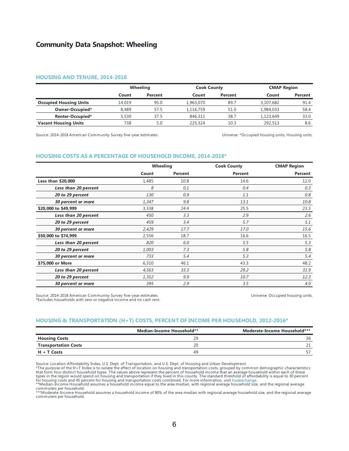#### **HOUSING AND TENURE, 2014-2018**

|                               | Wheeling |         | <b>Cook County</b> |         | <b>CMAP Region</b> |         |
|-------------------------------|----------|---------|--------------------|---------|--------------------|---------|
|                               | Count    | Percent | Count              | Percent | Count              | Percent |
| <b>Occupied Housing Units</b> | 14.019   | 95.0    | 1,963,070          | 89.7    | 3,107,682          | 91.4    |
| Owner-Occupied*               | 8.489    | 57.5    | 1.116.759          | 51.0    | 1,984,033          | 58.4    |
| Renter-Occupied*              | 5,530    | 37.5    | 846,311            | 38.7    | 1.123.649          | 33.0    |
| <b>Vacant Housing Units</b>   | 738      | 5.0     | 225,324            | 10.3    | 292,513            | 8.6     |

Source: 2014-2018 American Community Survey five-year estimates. Universe: \*Occupied housing units; Housing units.

#### **HOUSING COSTS AS A PERCENTAGE OF HOUSEHOLD INCOME, 2014-2018\***

|                      | Wheeling |         | <b>Cook County</b> | <b>CMAP Region</b> |
|----------------------|----------|---------|--------------------|--------------------|
|                      | Count    | Percent | Percent            | Percent            |
| Less than \$20,000   | 1,485    | 10.8    | 14.6               | 12.0               |
| Less than 20 percent | 8        | 0.1     | 0.4                | 0.3                |
| 20 to 29 percent     | 130      | 0.9     | 1.1                | 0.8                |
| 30 percent or more   | 1,347    | 9.8     | 13.1               | 10.8               |
| \$20,000 to \$49,999 | 3,338    | 24.4    | 25.5               | 23.3               |
| Less than 20 percent | 450      | 3.3     | 2.9                | 2.6                |
| 20 to 29 percent     | 459      | 3.4     | 5.7                | 5.1                |
| 30 percent or more   | 2,429    | 17.7    | 17.0               | 15.6               |
| \$50,000 to \$74,999 | 2,556    | 18.7    | 16.6               | 16.5               |
| Less than 20 percent | 820      | 6.0     | 5.5                | 5.3                |
| 20 to 29 percent     | 1,003    | 7.3     | 5.8                | 5.8                |
| 30 percent or more   | 733      | 5.4     | 5.3                | 5.4                |
| \$75,000 or More     | 6,310    | 46.1    | 43.3               | 48.2               |
| Less than 20 percent | 4,563    | 33.3    | 29.2               | 31.9               |
| 20 to 29 percent     | 1,352    | 9.9     | 10.7               | 12.3               |
| 30 percent or more   | 395      | 2.9     | 3.5                | 4.0                |

Source: 2014-2018 American Community Survey five-year estimates. \*Excludes households with zero or negative income and no cash rent. Universe: Occupied housing units.

#### **HOUSING & TRANSPORTATION (H+T) COSTS, PERCENT OFINCOME PER HOUSEHOLD, 2012-2016\***

|                             | Median-Income Household** | Moderate-Income Household*** |
|-----------------------------|---------------------------|------------------------------|
| <b>Housing Costs</b>        | oα                        | 36                           |
| <b>Transportation Costs</b> | 20                        |                              |
| $H + T$ Costs               | 49                        |                              |

Source: Location Affordability Index, U.S. Dept. of Transportation, and U.S. Dept. of Housing and Urban Development.

\*The purpose of the H+T Index is to isolate the effect of location on housing and transportation costs, grouped by common demographic characteristics<br>that form four distinct household types. The values above represent the

commuters per household. \*\*\*Moderate-Income Household assumes a household income of 80% of the area median with regional average household size, and the regional average commuters per household.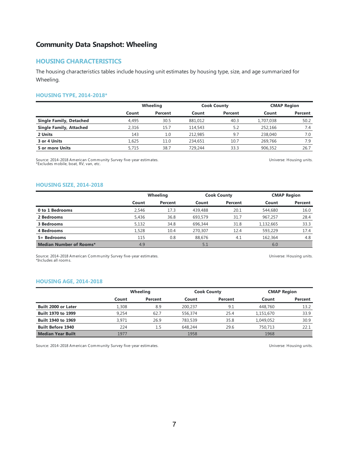### **HOUSING CHARACTERISTICS**

The housing characteristics tables include housing unit estimates by housing type, size, and age summarized for Wheeling.

#### **HOUSING TYPE, 2014-2018\***

|                                |       | Wheeling |         | <b>Cook County</b> |           | <b>CMAP Region</b> |  |
|--------------------------------|-------|----------|---------|--------------------|-----------|--------------------|--|
|                                | Count | Percent  | Count   | Percent            | Count     | Percent            |  |
| <b>Single Family, Detached</b> | 4.495 | 30.5     | 881,012 | 40.3               | 1,707,038 | 50.2               |  |
| <b>Single Family, Attached</b> | 2.316 | 15.7     | 114,543 | 5.2                | 252.166   | 7.4                |  |
| 2 Units                        | 143   | 1.0      | 212,985 | 9.7                | 238,040   | 7.0                |  |
| 3 or 4 Units                   | 1.625 | 11.0     | 234,651 | 10.7               | 269,766   | 7.9                |  |
| 5 or more Units                | 5.715 | 38.7     | 729,244 | 33.3               | 906.352   | 26.7               |  |

Source: 2014-2018 American Community Survey five-year estimates. \*Excludes mobile, boat, RV, van, etc.

Universe: Housing units.

#### **HOUSING SIZE, 2014-2018**

|                                |       | Wheeling |         | <b>Cook County</b> |           | <b>CMAP Region</b> |  |
|--------------------------------|-------|----------|---------|--------------------|-----------|--------------------|--|
|                                | Count | Percent  | Count   | Percent            | Count     | Percent            |  |
| 0 to 1 Bedrooms                | 2.546 | 17.3     | 439,488 | 20.1               | 544,680   | 16.0               |  |
| 2 Bedrooms                     | 5,436 | 36.8     | 693,579 | 31.7               | 967.257   | 28.4               |  |
| 3 Bedrooms                     | 5.132 | 34.8     | 696,344 | 31.8               | 1,132,665 | 33.3               |  |
| 4 Bedrooms                     | 1.528 | 10.4     | 270,307 | 12.4               | 593,229   | 17.4               |  |
| 5+ Bedrooms                    | 115   | 0.8      | 88,676  | 4.1                | 162,364   | 4.8                |  |
| <b>Median Number of Rooms*</b> | 4.9   |          | 5.1     |                    | 6.0       |                    |  |

Source: 2014-2018 American Community Survey five-year estimates. \*Includes all rooms.

Universe: Housing units.

#### **HOUSING AGE, 2014-2018**

|                            |       | Wheeling |         | <b>Cook County</b> |           | <b>CMAP Region</b> |  |
|----------------------------|-------|----------|---------|--------------------|-----------|--------------------|--|
|                            | Count | Percent  | Count   | Percent            | Count     | Percent            |  |
| <b>Built 2000 or Later</b> | 1,308 | 8.9      | 200.237 | 9.1                | 448,760   | 13.2               |  |
| Built 1970 to 1999         | 9.254 | 62.7     | 556,374 | 25.4               | 1,151,670 | 33.9               |  |
| Built 1940 to 1969         | 3.971 | 26.9     | 783,539 | 35.8               | 1.049.052 | 30.9               |  |
| <b>Built Before 1940</b>   | 224   | 1.5      | 648.244 | 29.6               | 750.713   | 22.1               |  |
| <b>Median Year Built</b>   | 1977  |          | 1958    |                    | 1968      |                    |  |

Source: 2014-2018 American Community Survey five-year estimates. Universe: Housing units.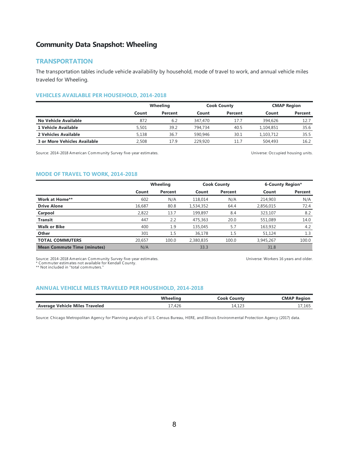#### **TRANSPORTATION**

The transportation tables include vehicle availability by household, mode of travel to work, and annual vehicle miles traveled for Wheeling.

#### **VEHICLES AVAILABLE PER HOUSEHOLD, 2014-2018**

|                                     | Wheeling |         |         | <b>Cook County</b> |           | <b>CMAP Region</b> |  |
|-------------------------------------|----------|---------|---------|--------------------|-----------|--------------------|--|
|                                     | Count    | Percent | Count   | Percent            | Count     | Percent            |  |
| No Vehicle Available                | 872      | 6.2     | 347,470 | 17.7               | 394,626   | 12.7               |  |
| 1 Vehicle Available                 | 5,501    | 39.2    | 794,734 | 40.5               | 1,104,851 | 35.6               |  |
| 2 Vehicles Available                | 5.138    | 36.7    | 590,946 | 30.1               | 1.103.712 | 35.5               |  |
| <b>3 or More Vehicles Available</b> | 2,508    | 17.9    | 229,920 | 11.7               | 504,493   | 16.2               |  |

Source: 2014-2018 American Community Survey five-year estimates. The Manuscription of the Universe: Occupied housing units.

Universe: Workers 16 years and older.

#### **MODE OF TRAVEL TO WORK, 2014-2018**

|                                    |        | Wheeling |           | <b>Cook County</b> |           | 6-County Region* |  |
|------------------------------------|--------|----------|-----------|--------------------|-----------|------------------|--|
|                                    | Count  | Percent  | Count     | Percent            | Count     | Percent          |  |
| <b>Work at Home**</b>              | 602    | N/A      | 118,014   | N/A                | 214,903   | N/A              |  |
| <b>Drive Alone</b>                 | 16,687 | 80.8     | 1,534,352 | 64.4               | 2,856,015 | 72.4             |  |
| Carpool                            | 2,822  | 13.7     | 199,897   | 8.4                | 323,107   | 8.2              |  |
| <b>Transit</b>                     | 447    | 2.2      | 475,363   | 20.0               | 551,089   | 14.0             |  |
| <b>Walk or Bike</b>                | 400    | 1.9      | 135,045   | 5.7                | 163,932   | 4.2              |  |
| Other                              | 301    | 1.5      | 36.178    | 1.5                | 51.124    | 1.3              |  |
| <b>TOTAL COMMUTERS</b>             | 20,657 | 100.0    | 2,380,835 | 100.0              | 3,945,267 | 100.0            |  |
| <b>Mean Commute Time (minutes)</b> | N/A    |          | 33.3      |                    | 31.8      |                  |  |

Source: 2014-2018 American Community Survey five-year estimates. \* Commuter estimates not available for Kendall County. \*\* Not included in "total commuters."

#### **ANNUAL VEHICLE MILES TRAVELED PER HOUSEHOLD, 2014-2018**

|                                       | <b>M</b> hool | ∴ook<br>Count          | <b>CMAP Region</b>    |
|---------------------------------------|---------------|------------------------|-----------------------|
| <b>Average Vehicle Miles Traveled</b> | .426          | 127<br>$\mu$<br>14,12J | $\sim$ $\sim$<br>לס⊥, |

Source: Chicago Metropolitan Agency for Planning analysis of U.S. Census Bureau, HERE, and Illinois Environmental Protection Agency (2017) data.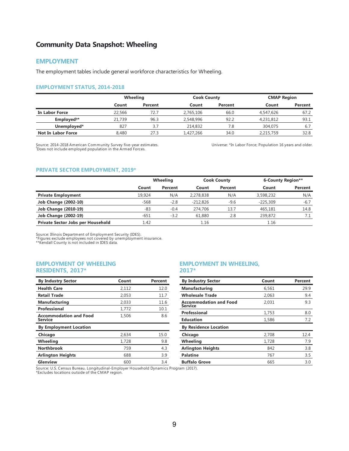#### **EMPLOYMENT**

The employment tables include general workforce characteristics for Wheeling.

#### **EMPLOYMENT STATUS, 2014-2018**

|                           |        | <b>Wheeling</b> |           | <b>Cook County</b> |           | <b>CMAP Region</b> |  |
|---------------------------|--------|-----------------|-----------|--------------------|-----------|--------------------|--|
|                           | Count  | Percent         | Count     | Percent            | Count     | Percent            |  |
| In Labor Force            | 22.566 | 72.7            | 2.765.106 | 66.0               | 4,547,626 | 67.2               |  |
| Employed <sup>+*</sup>    | 21,739 | 96.3            | 2,548,996 | 92.2               | 4,231,812 | 93.1               |  |
| Unemployed*               | 827    | 3.7             | 214,832   | 7.8                | 304,075   | 6.7                |  |
| <b>Not In Labor Force</b> | 8,480  | 27.3            | 1,427,266 | 34.0               | 2,215,759 | 32.8               |  |

Source: 2014-2018 American Community Survey five-year estimates. Does not include employed population in the Armed Forces. †

Universe: \*In Labor Force; Population 16 years and older.

#### **PRIVATE SECTOR EMPLOYMENT, 2019\***

|                                   | Wheeling |         | <b>Cook County</b> |         | 6-County Region** |         |
|-----------------------------------|----------|---------|--------------------|---------|-------------------|---------|
|                                   | Count    | Percent | Count              | Percent | Count             | Percent |
| <b>Private Employment</b>         | 19.924   | N/A     | 2,278,838          | N/A     | 3,598,232         | N/A     |
| <b>Job Change (2002-10)</b>       | $-568$   | $-2.8$  | $-212.826$         | $-9.6$  | $-225.309$        | $-6.7$  |
| <b>Job Change (2010-19)</b>       | -83      | $-0.4$  | 274,706            | 13.7    | 465,181           | 14.8    |
| <b>Job Change (2002-19)</b>       | $-651$   | $-3.2$  | 61,880             | 2.8     | 239.872           |         |
| Private Sector Jobs per Household | 1.42     |         | 1.16               |         | 1.16              |         |

Source: Illinois Department of Employment Security (IDES).

\*Figures exclude employees not covered by unemployment insurance. \*\*Kendall County is not included in IDES data.

#### **EMPLOYMENT OF WHEELING RESIDENTS, 2017\***

| <b>By Industry Sector</b>                       | Count | Percent |
|-------------------------------------------------|-------|---------|
| <b>Health Care</b>                              | 2,112 | 12.0    |
| <b>Retail Trade</b>                             | 2,053 | 11.7    |
| <b>Manufacturing</b>                            | 2,033 | 11.6    |
| Professional                                    | 1,772 | 10.1    |
| <b>Accommodation and Food</b><br><b>Service</b> | 1,506 | 8.6     |
| <b>By Employment Location</b>                   |       |         |
| Chicago                                         | 2.634 | 15.0    |
| Wheeling                                        | 1,728 | 9.8     |
| <b>Northbrook</b>                               | 759   | 4.3     |
| <b>Arlington Heights</b>                        | 688   | 3.9     |
| Glenview                                        | 600   | 3.4     |

#### **EMPLOYMENT IN WHEELING, 2017\***

| <b>By Industry Sector</b>                | Count | Percent |
|------------------------------------------|-------|---------|
| Manufacturing                            | 6,561 | 29.9    |
| <b>Wholesale Trade</b>                   | 2.063 | 9.4     |
| <b>Accommodation and Food</b><br>Service | 2.031 | 9.3     |
| Professional                             | 1,753 | 8.0     |
| <b>Education</b>                         | 1,586 | 7.2     |
| <b>By Residence Location</b>             |       |         |
| Chicago                                  | 2,708 | 12.4    |
| Wheeling                                 | 1,728 | 7.9     |
| <b>Arlington Heights</b>                 | 842   | 3.8     |
| <b>Palatine</b>                          | 767   | 3.5     |
| <b>Buffalo Grove</b>                     | 665   | 3.0     |

Source: U.S. Census Bureau, Longitudinal-Employer Household Dynamics Program (2017). \*Excludes locations outside of the CMAP region.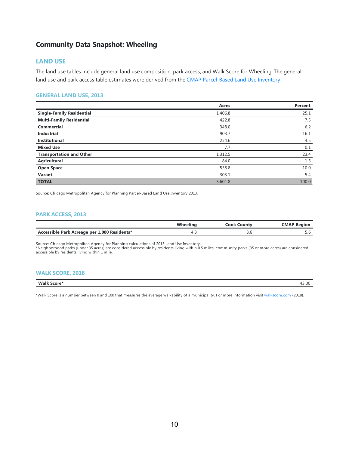### **LAND USE**

The land use tables include general land use composition, park access, and Walk Score for Wheeling. The general land use and park access table estimates were derived from the CMAP Parcel-Based Land Use Inventory.

#### **GENERALLAND USE, 2013**

|                                  | Acres   | Percent |
|----------------------------------|---------|---------|
| <b>Single-Family Residential</b> | 1,406.8 | 25.1    |
| <b>Multi-Family Residential</b>  | 422.8   | 7.5     |
| <b>Commercial</b>                | 348.0   | 6.2     |
| <b>Industrial</b>                | 903.7   | 16.1    |
| <b>Institutional</b>             | 254.6   | 4.5     |
| <b>Mixed Use</b>                 | 7.7     | 0.1     |
| <b>Transportation and Other</b>  | 1,312.5 | 23.4    |
| Agricultural                     | 84.0    | 1.5     |
| <b>Open Space</b>                | 558.8   | 10.0    |
| Vacant                           | 303.1   | 5.4     |
| <b>TOTAL</b>                     | 5,601.8 | 100.0   |

Source: Chicago Metropolitan Agency for Planning Parcel-Based Land Use Inventory 2013.

#### **PARK ACCESS, 2013**

|                                              | Wheeling | Cook Countv | <b>CMAP Reaion</b> |
|----------------------------------------------|----------|-------------|--------------------|
| Accessible Park Acreage per 1,000 Residents* |          | ن.ر         | J.O                |

Source: Chicago Metropolitan Agency for Planning calculations of 2013 Land Use Inventory.<br>\*Neighborhood parks (under 35 acres) are considered accessible by residents living within 0.5 miles; community parks (35 or more acr accessible by residents living within 1 mile.

#### **WALK SCORE, 2018**

### **Walk Score\*** 43.00

\*Walk Score is a number between 0 and 100 that measures the average walkability of a municipality. For more information visit [walkscore.com](https://www.walkscore.com) (2018).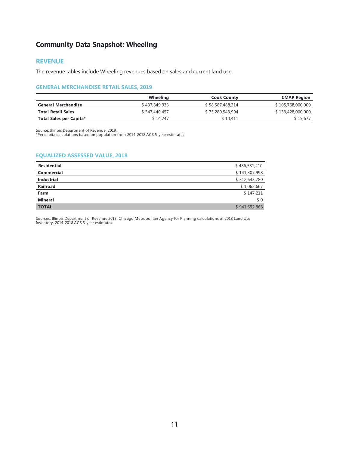### **REVENUE**

The revenue tables include Wheeling revenues based on sales and current land use.

#### **GENERAL MERCHANDISE RETAIL SALES, 2019**

|                            | Wheeling      | <b>Cook County</b> | <b>CMAP Region</b> |
|----------------------------|---------------|--------------------|--------------------|
| <b>General Merchandise</b> | \$437,849,933 | \$58,587,488,314   | \$105,768,000,000  |
| <b>Total Retail Sales</b>  | \$547,440,457 | \$75,280,543,994   | \$133,428,000,000  |
| Total Sales per Capita*    | \$14.247      | \$14.411           | \$ 15.677          |

Source: Illinois Department of Revenue, 2019. \*Per capita calculations based on population from 2014-2018 ACS 5-year estimates.

#### **EQUALIZED ASSESSED VALUE, 2018**

| <b>Residential</b> | \$486,531,210 |
|--------------------|---------------|
| <b>Commercial</b>  | \$141,307,998 |
| <b>Industrial</b>  | \$312,643,780 |
| Railroad           | \$1,062,667   |
| Farm               | \$147,211     |
| <b>Mineral</b>     | \$0           |
| <b>TOTAL</b>       | \$941,692,866 |

Sources: Illinois Department of Revenue 2018, Chicago Metropolitan Agency for Planning calculations of 2013 Land Use Inventory, 2014-2018 ACS 5-year estimates.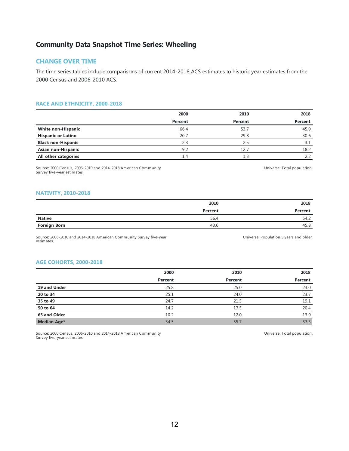### **CHANGE OVER TIME**

The time series tables include comparisons of current 2014-2018 ACS estimates to historic year estimates from the 2000 Census and 2006-2010 ACS.

#### **RACE AND ETHNICITY, 2000-2018**

|                           | 2000    | 2010    | 2018    |
|---------------------------|---------|---------|---------|
|                           | Percent | Percent | Percent |
| <b>White non-Hispanic</b> | 66.4    | 53.7    | 45.9    |
| <b>Hispanic or Latino</b> | 20.7    | 29.8    | 30.6    |
| <b>Black non-Hispanic</b> | 2.3     | 2.5     | 3.1     |
| Asian non-Hispanic        | 9.2     | 12.7    | 18.2    |
| All other categories      | 1.4     |         | 2.2     |

Source: 2000 Census, 2006-2010 and 2014-2018 American Community Survey five-year estimates.

Universe: Total population.

#### **NATIVITY, 2010-2018**

|                     | 2010    | 2018    |
|---------------------|---------|---------|
|                     | Percent | Percent |
| <b>Native</b>       | 56.4    | 54.2    |
| <b>Foreign Born</b> | 43.6    | 45.8    |

Source: 2006-2010 and 2014-2018 American Community Survey five-year estimates.

Universe: Population 5 years and older.

#### **AGE COHORTS, 2000-2018**

|              | 2000    | 2010    | 2018    |
|--------------|---------|---------|---------|
|              | Percent | Percent | Percent |
| 19 and Under | 25.8    | 25.0    | 23.0    |
| 20 to 34     | 25.1    | 24.0    | 23.7    |
| 35 to 49     | 24.7    | 21.5    | 19.1    |
| 50 to 64     | 14.2    | 17.5    | 20.4    |
| 65 and Older | 10.2    | 12.0    | 13.9    |
| Median Age*  | 34.5    | 35.7    | 37.3    |

Source: 2000 Census, 2006-2010 and 2014-2018 American Community Survey five-year estimates.

Universe: Total population.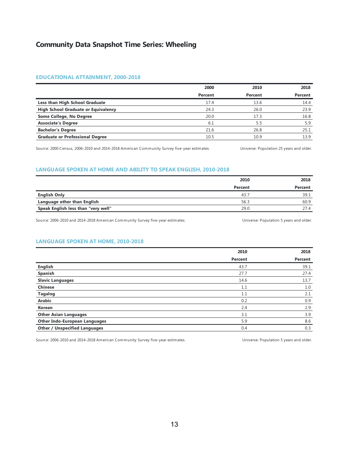#### **EDUCATIONAL ATTAINMENT, 2000-2018**

|                                            | 2000    | 2010    | 2018    |
|--------------------------------------------|---------|---------|---------|
|                                            | Percent | Percent | Percent |
| Less than High School Graduate             | 17.4    | 13.6    | 14.4    |
| <b>High School Graduate or Equivalency</b> | 24.3    | 26.0    | 23.9    |
| Some College, No Degree                    | 20.0    | 17.3    | 16.8    |
| <b>Associate's Degree</b>                  | 6.1     | 5.5     | 5.9     |
| <b>Bachelor's Degree</b>                   | 21.6    | 26.8    | 25.1    |
| <b>Graduate or Professional Degree</b>     | 10.5    | 10.9    | 13.9    |

Source: 2000 Census, 2006-2010 and 2014-2018 American Community Survey five-year estimates. Universe: Population 25 years and older.

#### **LANGUAGE SPOKEN AT HOME AND ABILITY TO SPEAK ENGLISH, 2010-2018**

|                                     | 2010    | 2018    |
|-------------------------------------|---------|---------|
|                                     | Percent | Percent |
| <b>English Only</b>                 | 43.7    | 39.1    |
| Language other than English         | 56.3    | 60.9    |
| Speak English less than "very well" | 29.0    | 27.4    |

Source: 2006-2010 and 2014-2018 American Community Survey five-year estimates. 
Universe: Population 5 years and older.

### **LANGUAGE SPOKEN AT HOME, 2010-2018**

|                                      | 2010    | 2018    |
|--------------------------------------|---------|---------|
|                                      | Percent | Percent |
| <b>English</b>                       | 43.7    | 39.1    |
| Spanish                              | 27.7    | 27.4    |
| <b>Slavic Languages</b>              | 14.6    | 13.7    |
| <b>Chinese</b>                       | 1.1     | 1.0     |
| <b>Tagalog</b>                       | 1.1     | 2.1     |
| Arabic                               | 0.2     | 0.9     |
| Korean                               | 2.4     | 2.9     |
| <b>Other Asian Languages</b>         | 3.1     | 3.9     |
| <b>Other Indo-European Languages</b> | 5.9     | 8.6     |
| <b>Other / Unspecified Languages</b> | 0.4     | 0.3     |

Source: 2006-2010 and 2014-2018 American Community Survey five-year estimates. Universe: Population 5 years and older.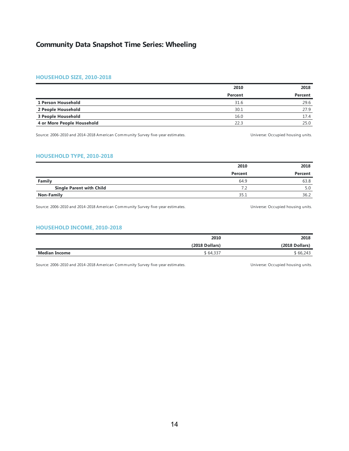#### **HOUSEHOLD SIZE, 2010-2018**

|                            | 2010    | 2018    |
|----------------------------|---------|---------|
|                            | Percent | Percent |
| 1 Person Household         | 31.6    | 29.6    |
| 2 People Household         | 30.1    | 27.9    |
| 3 People Household         | 16.0    | 17.4    |
| 4 or More People Household | 22.3    | 25.0    |

Source: 2006-2010 and 2014-2018 American Community Survey five-year estimates. 
Universe: Occupied housing units.

### **HOUSEHOLD TYPE, 2010-2018**

|                                 | 2010    | 2018    |
|---------------------------------|---------|---------|
|                                 | Percent | Percent |
| Family                          | 64.9    | 63.8    |
| <b>Single Parent with Child</b> | 7.2     | 5.0     |
| <b>Non-Family</b>               | 35.1    | 36.2    |

Source: 2006-2010 and 2014-2018 American Community Survey five-year estimates. The Manusculphan Community Survey five-year estimates.

#### **HOUSEHOLD INCOME, 2010-2018**

|                      | 2010           | 2018             |
|----------------------|----------------|------------------|
|                      | (2018 Dollars) | $(2018$ Dollars) |
| <b>Median Income</b> | \$64,337       | \$66,243         |

Source: 2006-2010 and 2014-2018 American Community Survey five-year estimates. 
Universe: Occupied housing units.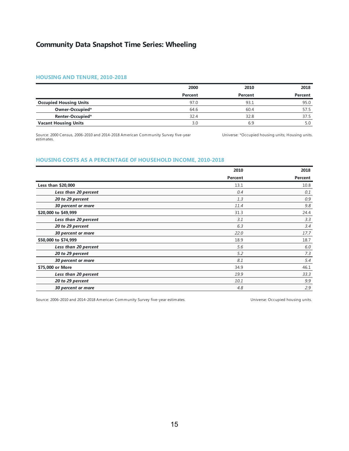#### **HOUSING AND TENURE, 2010-2018**

|                               | 2000    | 2010    | 2018    |
|-------------------------------|---------|---------|---------|
|                               | Percent | Percent | Percent |
| <b>Occupied Housing Units</b> | 97.0    | 93.1    | 95.0    |
| Owner-Occupied*               | 64.6    | 60.4    | 57.5    |
| Renter-Occupied*              | 32.4    | 32.8    | 37.5    |
| <b>Vacant Housing Units</b>   | 3.0     | 6.9     |         |

Source: 2000 Census, 2006-2010 and 2014-2018 American Community Survey five-year estimates.

Universe: \*Occupied housing units; Housing units.

#### **HOUSING COSTS AS A PERCENTAGE OF HOUSEHOLD INCOME, 2010-2018**

|                      | 2010    | 2018    |
|----------------------|---------|---------|
|                      | Percent | Percent |
| Less than \$20,000   | 13.1    | 10.8    |
| Less than 20 percent | 0.4     | 0.1     |
| 20 to 29 percent     | 1.3     | 0.9     |
| 30 percent or more   | 11.4    | 9.8     |
| \$20,000 to \$49,999 | 31.3    | 24.4    |
| Less than 20 percent | 3.1     | 3.3     |
| 20 to 29 percent     | 6.3     | 3.4     |
| 30 percent or more   | 22.0    | 17.7    |
| \$50,000 to \$74,999 | 18.9    | 18.7    |
| Less than 20 percent | 5.6     | 6.0     |
| 20 to 29 percent     | 5.2     | 7.3     |
| 30 percent or more   | 8.1     | 5.4     |
| \$75,000 or More     | 34.9    | 46.1    |
| Less than 20 percent | 19.9    | 33.3    |
| 20 to 29 percent     | 10.1    | 9.9     |
| 30 percent or more   | 4.8     | 2.9     |

Source: 2006-2010 and 2014-2018 American Community Survey five-year estimates. 
Universe: Occupied housing units.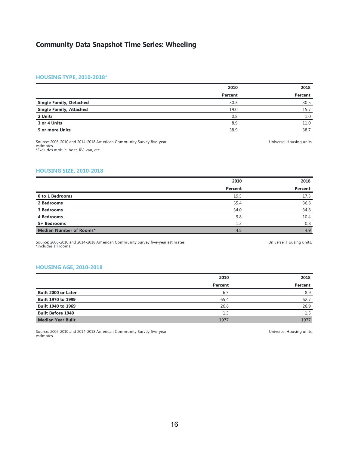#### **HOUSING TYPE, 2010-2018\***

|                                | 2010    | 2018    |
|--------------------------------|---------|---------|
|                                | Percent | Percent |
| <b>Single Family, Detached</b> | 30.3    | 30.5    |
| <b>Single Family, Attached</b> | 19.0    | 15.7    |
| 2 Units                        | 0.8     | 1.0     |
| 3 or 4 Units                   | 8.9     | 11.0    |
| 5 or more Units                | 38.9    | 38.7    |

Source: 2006-2010 and 2014-2018 American Community Survey five-year estimates. \*Excludes mobile, boat, RV, van, etc.

### Universe: Housing units.

#### **HOUSING SIZE, 2010-2018**

|                         | 2010    | 2018    |
|-------------------------|---------|---------|
|                         | Percent | Percent |
| 0 to 1 Bedrooms         | 19.5    | 17.3    |
| 2 Bedrooms              | 35.4    | 36.8    |
| 3 Bedrooms              | 34.0    | 34.8    |
| 4 Bedrooms              | 9.8     | 10.4    |
| 5+ Bedrooms             | 1.3     | 0.8     |
| Median Number of Rooms* | 4.8     | 4.9     |

Source: 2006-2010 and 2014-2018 American Community Survey five-year estimates. \*Includes all rooms.

#### Universe: Housing units.

#### **HOUSING AGE, 2010-2018**

|                            | 2010    | 2018    |
|----------------------------|---------|---------|
|                            | Percent | Percent |
| <b>Built 2000 or Later</b> | 6.5     | 8.9     |
| Built 1970 to 1999         | 65.4    | 62.7    |
| <b>Built 1940 to 1969</b>  | 26.8    | 26.9    |
| <b>Built Before 1940</b>   | 1.3     | 1.5     |
| <b>Median Year Built</b>   | 1977    | 1977    |

Source: 2006-2010 and 2014-2018 American Community Survey five-year estimates.

Universe: Housing units.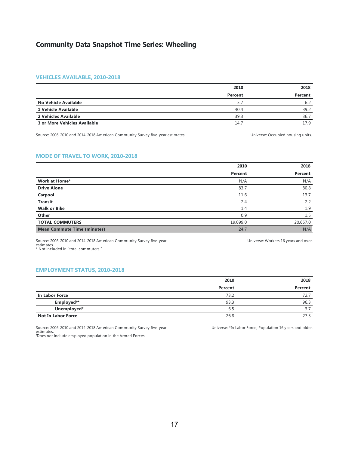#### **VEHICLES AVAILABLE, 2010-2018**

|                              | 2010    | 2018    |
|------------------------------|---------|---------|
|                              | Percent | Percent |
| No Vehicle Available         | 5.7     | 6.2     |
| 1 Vehicle Available          | 40.4    | 39.2    |
| 2 Vehicles Available         | 39.3    | 36.7    |
| 3 or More Vehicles Available | 14.7    | 17.9    |

Source: 2006-2010 and 2014-2018 American Community Survey five-year estimates. 
Universe: Occupied housing units.

#### **MODE OF TRAVEL TO WORK, 2010-2018**

|                                    | 2010     | 2018     |
|------------------------------------|----------|----------|
|                                    | Percent  | Percent  |
| Work at Home*                      | N/A      | N/A      |
| <b>Drive Alone</b>                 | 83.7     | 80.8     |
| Carpool                            | 11.6     | 13.7     |
| <b>Transit</b>                     | 2.4      | 2.2      |
| <b>Walk or Bike</b>                | 1.4      | 1.9      |
| Other                              | 0.9      | 1.5      |
| <b>TOTAL COMMUTERS</b>             | 19,099.0 | 20,657.0 |
| <b>Mean Commute Time (minutes)</b> | 24.7     | N/A      |

Source: 2006-2010 and 2014-2018 American Community Survey five-year estimates. \* Not included in "total commuters."

Universe: Workers 16 years and over.

#### **EMPLOYMENT STATUS, 2010-2018**

|                           | 2010    | 2018    |
|---------------------------|---------|---------|
|                           | Percent | Percent |
| In Labor Force            | 73.2    | 72.7    |
| Employed <sup>+*</sup>    | 93.3    | 96.3    |
| Unemployed*               | 6.5     | 3.7     |
| <b>Not In Labor Force</b> | 26.8    | 27.3    |

Source: 2006-2010 and 2014-2018 American Community Survey five-year estimates. Does not include employed population in the Armed Forces. †

Universe: \*In Labor Force; Population 16 years and older.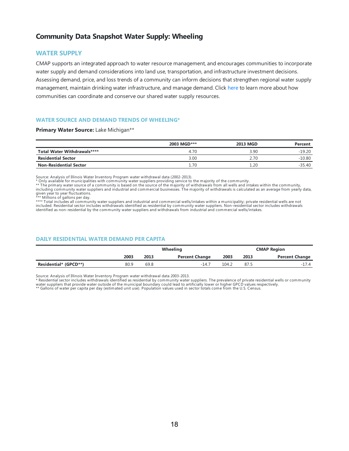### **Community Data Snapshot Water Supply: Wheeling**

#### **WATER SUPPLY**

CMAP supports an integrated approach to water resource management, and encourages communities to incorporate water supply and demand considerations into land use, transportation, and infrastructure investment decisions. Assessing demand, price, and loss trends of a community can inform decisions that strengthen regional water supply management, maintain drinking water infrastructure, and manage demand. Click [here](https://www.cmap.illinois.gov/2050/environment/water-supply#water-planning) to learn more about how communities can coordinate and conserve our shared water supply resources.

#### **WATER SOURCE AND DEMAND TRENDS OF WHEELING\***

#### **Primary Water Source:** Lake Michigan\*\*

|                               | 2003 MGD*** | <b>2013 MGD</b> | Percent  |
|-------------------------------|-------------|-----------------|----------|
| Total Water Withdrawals****   | 4.70        | 3.90            | $-19.20$ |
| <b>Residential Sector</b>     | 3.00        | 2.70            | $-10.80$ |
| <b>Non-Residential Sector</b> | 1.70        | 1.20            | $-35.40$ |

Source: Analysis of Illinois Water Inventory Program water withdrawal data (2002-2013).<br>\* Only available for municipalities with community water suppliers providing service to the majority of the community.<br>\* \* The primary

given year to year fluctuations.<br>\*\*\* Millions of gallons per day.<br>\*\*\*\* Total includes all community water suppliers and industrial and commercial wells/intakes within a municipality; private residential wells are not included. Residential sector includes withdrawals identified as residential by community water suppliers. Non-residential sector includes withdrawals identified as non-residential by the community water suppliers and withdrawals from industrial and commercial wells/intakes.

#### **DAILY RESIDENTIAL WATER DEMAND PER CAPITA**

|                       |      | <b>Wheeling</b> |                       |       |      | <b>CMAP Region</b>    |
|-----------------------|------|-----------------|-----------------------|-------|------|-----------------------|
|                       | 2003 | 2013            | <b>Percent Change</b> | 2003  | 2013 | <b>Percent Change</b> |
| Residential* (GPCD**) | 80.9 | 69.8            | $-14.7$               | 104.2 | 87.5 | -17.4                 |

Source: Analysis of Illinois Water Inventory Program water withdrawal data 2003-2013.<br>\* Residential sector includes withdrawals identified as residential by community water suppliers. The prevalence of private residential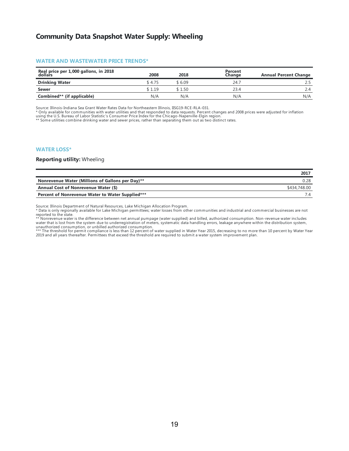### **Community Data Snapshot Water Supply: Wheeling**

#### **WATER AND WASTEWATER PRICE TRENDS\***

| Real price per 1,000 gallons, in 2018<br>dollars | 2008   | 2018    | Percent<br>Change | <b>Annual Percent Change</b> |
|--------------------------------------------------|--------|---------|-------------------|------------------------------|
| <b>Drinking Water</b>                            | \$4.75 | \$ 6.09 | 24.               |                              |
| Sewer                                            | \$1.19 | \$1.50  | 23.4              | 2.4                          |
| Combined** (if applicable)                       | N/A    | N/A     | N/A               | N/A                          |

Source: Illinois-Indiana Sea Grant Water Rates Data for Northeastern Illinois, IISG19-RCE-RLA-031.

\* Only available for communities with water utilities and that responded to data requests. Percent changes and 2008 prices were adjusted for inflation<br>using the U.S. Bureau of Labor Statistic's Consumer Price Index for the

\*\* Some utilities combine drinking water and sewer prices, rather than separating them out as two distinct rates.

#### **WATER LOSS\***

#### **Reporting utility:** Wheeling

|                                                  | 2017         |
|--------------------------------------------------|--------------|
| Nonrevenue Water (Millions of Gallons per Day)** |              |
| Annual Cost of Nonrevenue Water (\$)             | \$434,748.00 |
| Percent of Nonrevenue Water to Water Supplied*** |              |

Source: Illinois Department of Natural Resources, Lake Michigan Allocation Program.

\* Data is only regionally available for Lake Michigan permittees; water losses from other communities and industrial and commercial businesses are not

reported to the state.<br>\*\* Nonrevenue water is the difference between net annual pumpage (water supplied) and billed, authorized consumption. Non-revenue water includes<br>water that is lost from the system due to underregistr unauthorized consumption, or unbilled authorized consumption.<br>\*\*\* The threshold for permit compliance is less than 12 percent of water supplied in Water Year 2015, decreasing to no more than 10 percent by Water Year

2019 and all years thereafter. Permittees that exceed the threshold are required to submit a water system improvement plan.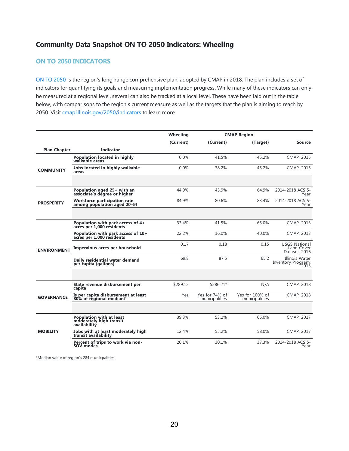### **Community Data Snapshot ON TO 2050 Indicators: Wheeling**

### **ON TO 2050 INDICATORS**

ON TO [2050](https://www.cmap.illinois.gov/2050) is the region's long-range comprehensive plan, adopted by CMAP in 2018. The plan includes a set of indicators for quantifying its goals and measuring implementation progress. While many of these indicators can only be measured at a regional level, several can also be tracked at a local level. These have been laid out in the table below, with comparisons to the region's current measure as well as the targets that the plan is aiming to reach by 2050. Visit [cmap.illinois.gov/2050/indicators](https://www.cmap.illinois.gov/2050/indicators) to learn more.

|                     |                                                                            | Wheeling  |                                  | <b>CMAP Region</b>                |                                                     |
|---------------------|----------------------------------------------------------------------------|-----------|----------------------------------|-----------------------------------|-----------------------------------------------------|
|                     |                                                                            | (Current) | (Current)                        | (Target)                          | <b>Source</b>                                       |
| <b>Plan Chapter</b> | <b>Indicator</b>                                                           |           |                                  |                                   |                                                     |
| <b>COMMUNITY</b>    | <b>Population located in highly</b><br>walkable areas                      | 0.0%      | 41.5%                            | 45.2%                             | CMAP, 2015                                          |
|                     | Jobs located in highly walkable<br>areas                                   | 0.0%      | 38.2%                            | 45.2%                             | CMAP, 2015                                          |
| <b>PROSPERITY</b>   | Population aged 25+ with an<br>associate's degree or higher                | 44.9%     | 45.9%                            | 64.9%                             | 2014-2018 ACS 5-<br>Year                            |
|                     | <b>Workforce participation rate</b><br>among population aged 20-64         | 84.9%     | 80.6%                            | 83.4%                             | 2014-2018 ACS 5-<br>Year                            |
|                     |                                                                            |           |                                  |                                   |                                                     |
| <b>ENVIRONMENT</b>  | Population with park access of 4+<br>acres per 1,000 residents             | 33.4%     | 41.5%                            | 65.0%                             | CMAP, 2013                                          |
|                     | Population with park access of 10+<br>acres per 1,000 residents            | 22.2%     | 16.0%                            | 40.0%                             | CMAP, 2013                                          |
|                     | Impervious acres per household                                             | 0.17      | 0.18                             | 0.15                              | <b>USGS National</b><br>Land Cover<br>Dataset, 2016 |
|                     | Daily residential water demand<br>per capita (gallons)                     | 69.8      | 87.5                             | 65.2                              | Illinois Water<br>Inventory Program,<br>2013        |
|                     |                                                                            |           |                                  |                                   |                                                     |
| <b>GOVERNANCE</b>   | State revenue disbursement per<br>capita                                   | \$289.12  | \$286.21*                        | N/A                               | CMAP, 2018                                          |
|                     | Is per capita disbursement at least<br>80% of regional median?             | Yes       | Yes for 74% of<br>municipalities | Yes for 100% of<br>municipalities | CMAP, 2018                                          |
|                     |                                                                            |           |                                  |                                   |                                                     |
| <b>MOBILITY</b>     | <b>Population with at least</b><br>moderately high transit<br>availability | 39.3%     | 53.2%                            | 65.0%                             | CMAP, 2017                                          |
|                     | Jobs with at least moderately high<br>transit availability                 | 12.4%     | 55.2%                            | 58.0%                             | CMAP, 2017                                          |
|                     | Percent of trips to work via non-<br>SOV modes                             | 20.1%     | 30.1%                            | 37.3%                             | 2014-2018 ACS 5-<br>Year                            |

\*Median value of region's 284 municpalities.